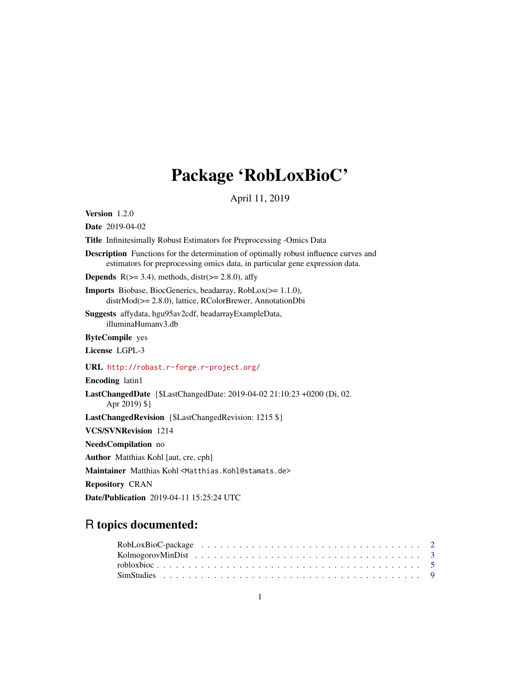## Package 'RobLoxBioC'

April 11, 2019

<span id="page-0-0"></span>Version 1.2.0 Date 2019-04-02 Title Infinitesimally Robust Estimators for Preprocessing -Omics Data Description Functions for the determination of optimally robust influence curves and estimators for preprocessing omics data, in particular gene expression data. **Depends**  $R$ ( $>=$  3.4), methods, distr( $>=$  2.8.0), affy Imports Biobase, BiocGenerics, beadarray, RobLox(>= 1.1.0), distrMod(>= 2.8.0), lattice, RColorBrewer, AnnotationDbi Suggests affydata, hgu95av2cdf, beadarrayExampleData, illuminaHumanv3.db ByteCompile yes License LGPL-3 URL <http://robast.r-forge.r-project.org/> Encoding latin1 LastChangedDate {\$LastChangedDate: 2019-04-02 21:10:23 +0200 (Di, 02. Apr 2019) \$} LastChangedRevision {\$LastChangedRevision: 1215 \$} VCS/SVNRevision 1214 NeedsCompilation no Author Matthias Kohl [aut, cre, cph] Maintainer Matthias Kohl <Matthias.Kohl@stamats.de> Repository CRAN Date/Publication 2019-04-11 15:25:24 UTC

### R topics documented: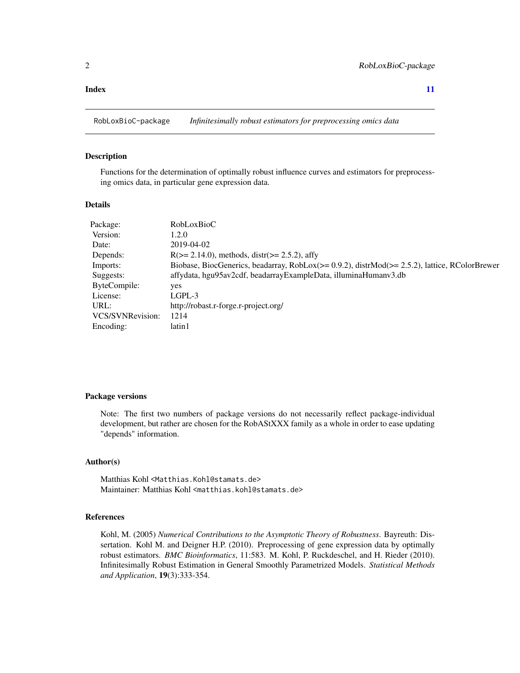#### <span id="page-1-0"></span>**Index** [11](#page-10-0)

RobLoxBioC-package *Infinitesimally robust estimators for preprocessing omics data*

#### Description

Functions for the determination of optimally robust influence curves and estimators for preprocessing omics data, in particular gene expression data.

#### Details

| <b>RobLoxBioC</b>                                                                                    |
|------------------------------------------------------------------------------------------------------|
| 1.2.0                                                                                                |
| 2019-04-02                                                                                           |
| $R(>= 2.14.0)$ , methods, distr( $>= 2.5.2$ ), affy                                                  |
| Biobase, BiocGenerics, beadarray, $RobLox(>= 0.9.2)$ , distr $Mod(>= 2.5.2)$ , lattice, RColorBrewer |
| affydata, hgu95av2cdf, beadarrayExampleData, illuminaHumanv3.db                                      |
| yes                                                                                                  |
| LGPL-3                                                                                               |
| http://robast.r-forge.r-project.org/                                                                 |
| 1214                                                                                                 |
| latin 1                                                                                              |
|                                                                                                      |

#### Package versions

Note: The first two numbers of package versions do not necessarily reflect package-individual development, but rather are chosen for the RobAStXXX family as a whole in order to ease updating "depends" information.

#### Author(s)

Matthias Kohl <Matthias.Kohl@stamats.de> Maintainer: Matthias Kohl <matthias.kohl@stamats.de>

#### References

Kohl, M. (2005) *Numerical Contributions to the Asymptotic Theory of Robustness*. Bayreuth: Dissertation. Kohl M. and Deigner H.P. (2010). Preprocessing of gene expression data by optimally robust estimators. *BMC Bioinformatics*, 11:583. M. Kohl, P. Ruckdeschel, and H. Rieder (2010). Infinitesimally Robust Estimation in General Smoothly Parametrized Models. *Statistical Methods and Application*, 19(3):333-354.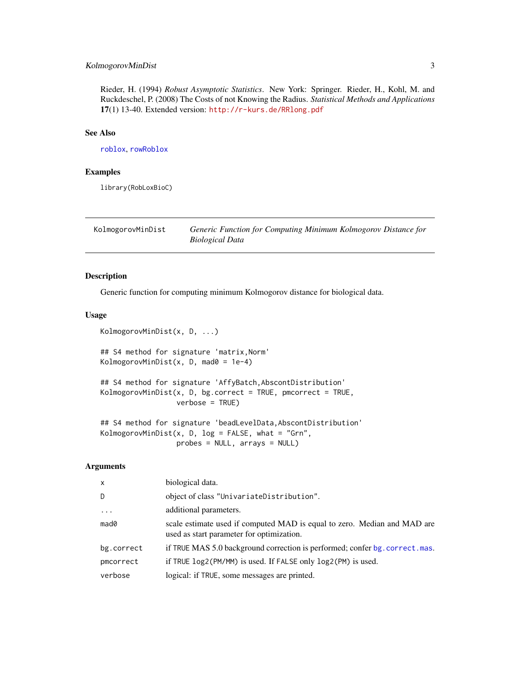#### <span id="page-2-0"></span>KolmogorovMinDist 3

Rieder, H. (1994) *Robust Asymptotic Statistics*. New York: Springer. Rieder, H., Kohl, M. and Ruckdeschel, P. (2008) The Costs of not Knowing the Radius. *Statistical Methods and Applications* 17(1) 13-40. Extended version: <http://r-kurs.de/RRlong.pdf>

#### See Also

[roblox](#page-0-0), [rowRoblox](#page-0-0)

#### Examples

library(RobLoxBioC)

KolmogorovMinDist *Generic Function for Computing Minimum Kolmogorov Distance for Biological Data*

#### Description

Generic function for computing minimum Kolmogorov distance for biological data.

#### Usage

KolmogorovMinDist(x, D, ...) ## S4 method for signature 'matrix,Norm' KolmogorovMinDist(x, D, mad0 =  $1e-4$ ) ## S4 method for signature 'AffyBatch,AbscontDistribution' KolmogorovMinDist(x, D, bg.correct = TRUE, pmcorrect = TRUE, verbose = TRUE)

## S4 method for signature 'beadLevelData, AbscontDistribution' KolmogorovMinDist(x, D,  $log = FALSE$ , what = "Grn", probes = NULL, arrays = NULL)

#### Arguments

| $\mathsf{x}$        | biological data.                                                                                                      |
|---------------------|-----------------------------------------------------------------------------------------------------------------------|
| D                   | object of class "UnivariateDistribution".                                                                             |
| $\cdot \cdot \cdot$ | additional parameters.                                                                                                |
| mad0                | scale estimate used if computed MAD is equal to zero. Median and MAD are<br>used as start parameter for optimization. |
| bg.correct          | if TRUE MAS 5.0 background correction is performed; confer bg. correct. mas.                                          |
| pmcorrect           | if TRUE log2(PM/MM) is used. If FALSE only log2(PM) is used.                                                          |
| verbose             | logical: if TRUE, some messages are printed.                                                                          |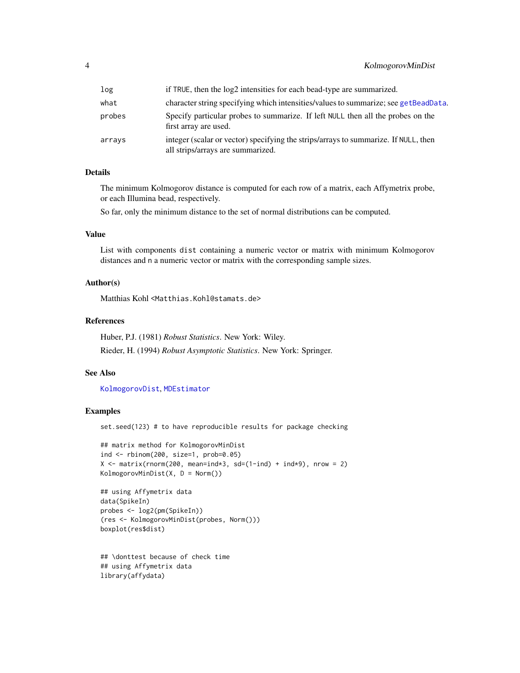#### <span id="page-3-0"></span>4 KolmogorovMinDist

| log    | if TRUE, then the log2 intensities for each bead-type are summarized.                                                    |
|--------|--------------------------------------------------------------------------------------------------------------------------|
| what   | character string specifying which intensities/values to summarize; see getBeadData.                                      |
| probes | Specify particular probes to summarize. If left NULL then all the probes on the<br>first array are used.                 |
| arrays | integer (scalar or vector) specifying the strips/arrays to summarize. If NULL, then<br>all strips/arrays are summarized. |

#### Details

The minimum Kolmogorov distance is computed for each row of a matrix, each Affymetrix probe, or each Illumina bead, respectively.

So far, only the minimum distance to the set of normal distributions can be computed.

#### Value

List with components dist containing a numeric vector or matrix with minimum Kolmogorov distances and n a numeric vector or matrix with the corresponding sample sizes.

#### Author(s)

Matthias Kohl <Matthias.Kohl@stamats.de>

#### References

Huber, P.J. (1981) *Robust Statistics*. New York: Wiley. Rieder, H. (1994) *Robust Asymptotic Statistics*. New York: Springer.

#### See Also

[KolmogorovDist](#page-0-0), [MDEstimator](#page-0-0)

#### Examples

set.seed(123) # to have reproducible results for package checking

```
## matrix method for KolmogorovMinDist
ind <- rbinom(200, size=1, prob=0.05)
X \le matrix(rnorm(200, mean=ind*3, sd=(1-ind) + ind*9), nrow = 2)
KolmogorovMinDist(X, D = Norm())
```

```
## using Affymetrix data
data(SpikeIn)
probes <- log2(pm(SpikeIn))
(res <- KolmogorovMinDist(probes, Norm()))
boxplot(res$dist)
```

```
## \donttest because of check time
## using Affymetrix data
library(affydata)
```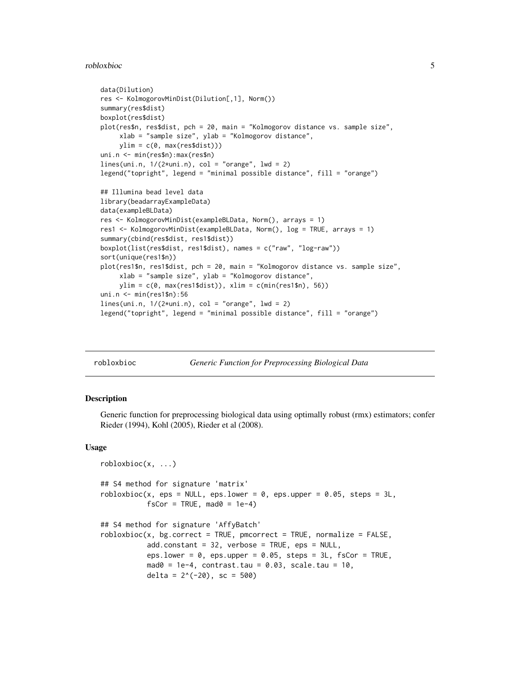#### <span id="page-4-0"></span>robloxbioc 5

```
data(Dilution)
res <- KolmogorovMinDist(Dilution[,1], Norm())
summary(res$dist)
boxplot(res$dist)
plot(res$n, res$dist, pch = 20, main = "Kolmogorov distance vs. sample size",
     xlab = "sample size", ylab = "Kolmogorov distance",
    ylim = c(0, max(res\diamond dist)))uni.n <- min(res$n):max(res$n)
lines(uni.n, 1/(2*uni.n), col = "orange", lwd = 2)legend("topright", legend = "minimal possible distance", fill = "orange")
## Illumina bead level data
library(beadarrayExampleData)
data(exampleBLData)
res <- KolmogorovMinDist(exampleBLData, Norm(), arrays = 1)
res1 <- KolmogorovMinDist(exampleBLData, Norm(), log = TRUE, arrays = 1)
summary(cbind(res$dist, res1$dist))
boxplot(list(res$dist, res1$dist), names = c("raw", "log-raw"))
sort(unique(res1$n))
plot(res1$n, res1$dist, pch = 20, main = "Kolmogorov distance vs. sample size",
     xlab = "sample size", ylab = "Kolmogorov distance",
     ylim = c(0, max(res1$dist)), xlim = c(min(res1$n), 56))
uni.n <- min(res1$n):56
lines(uni.n, 1/(2*uni.n), col = "orange", lwd = 2)legend("topright", legend = "minimal possible distance", fill = "orange")
```
robloxbioc *Generic Function for Preprocessing Biological Data*

#### **Description**

Generic function for preprocessing biological data using optimally robust (rmx) estimators; confer Rieder (1994), Kohl (2005), Rieder et al (2008).

#### Usage

```
robloxbioc(x, ...)
## S4 method for signature 'matrix'
roblovbioc(x, eps = NULL, eps.lower = 0, eps.upper = 0.05, steps = 3L,fscor = TRUE, \text{mad0} = 1e-4## S4 method for signature 'AffyBatch'
roblovbioc(x, bg.correct = TRUE, pomcorrect = TRUE, normalize = FALSE,add.constant = 32, verbose = TRUE, eps = NULL,
           eps.lower = 0, eps.upper = 0.05, steps = 3L, fsCor = TRUE,
           mad0 = 1e-4, contrast.tau = 0.03, scale.tau = 10,
           delta = 2^(-20), sc = 500)
```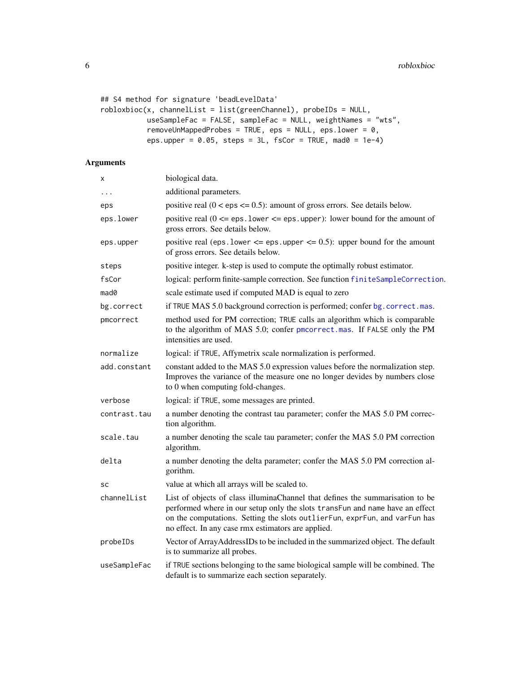```
## S4 method for signature 'beadLevelData'
robloxbioc(x, channelList = list(greenChannel), probeIDs = NULL,
           useSampleFac = FALSE, sampleFac = NULL, weightNames = "wts",
           removeUnMappedProbes = TRUE, eps = NULL, eps.lower = 0,
          eps.upper = 0.05, steps = 3L, fsCor = TRUE, mad0 = 1e-4)
```
#### Arguments

| x            | biological data.                                                                                                                                                                                                                                                                                  |
|--------------|---------------------------------------------------------------------------------------------------------------------------------------------------------------------------------------------------------------------------------------------------------------------------------------------------|
| .            | additional parameters.                                                                                                                                                                                                                                                                            |
| eps          | positive real $(0 \le \text{eps} \le 0.5)$ : amount of gross errors. See details below.                                                                                                                                                                                                           |
| eps.lower    | positive real $(0 \leq z \leq s)$ . Lower $\leq z \leq s$ . upper): lower bound for the amount of<br>gross errors. See details below.                                                                                                                                                             |
| eps.upper    | positive real (eps. lower $\leq$ eps. upper $\leq$ 0.5): upper bound for the amount<br>of gross errors. See details below.                                                                                                                                                                        |
| steps        | positive integer. k-step is used to compute the optimally robust estimator.                                                                                                                                                                                                                       |
| fsCor        | logical: perform finite-sample correction. See function finiteSampleCorrection.                                                                                                                                                                                                                   |
| mad0         | scale estimate used if computed MAD is equal to zero                                                                                                                                                                                                                                              |
| bg.correct   | if TRUE MAS 5.0 background correction is performed; confer bg. correct.mas.                                                                                                                                                                                                                       |
| pmcorrect    | method used for PM correction; TRUE calls an algorithm which is comparable<br>to the algorithm of MAS 5.0; confer pmcorrect.mas. If FALSE only the PM<br>intensities are used.                                                                                                                    |
| normalize    | logical: if TRUE, Affymetrix scale normalization is performed.                                                                                                                                                                                                                                    |
| add.constant | constant added to the MAS 5.0 expression values before the normalization step.<br>Improves the variance of the measure one no longer devides by numbers close<br>to 0 when computing fold-changes.                                                                                                |
| verbose      | logical: if TRUE, some messages are printed.                                                                                                                                                                                                                                                      |
| contrast.tau | a number denoting the contrast tau parameter; confer the MAS 5.0 PM correc-<br>tion algorithm.                                                                                                                                                                                                    |
| scale.tau    | a number denoting the scale tau parameter; confer the MAS 5.0 PM correction<br>algorithm.                                                                                                                                                                                                         |
| delta        | a number denoting the delta parameter; confer the MAS 5.0 PM correction al-<br>gorithm.                                                                                                                                                                                                           |
| SC           | value at which all arrays will be scaled to.                                                                                                                                                                                                                                                      |
| channelList  | List of objects of class illuminaChannel that defines the summarisation to be<br>performed where in our setup only the slots transFun and name have an effect<br>on the computations. Setting the slots outlierFun, exprFun, and varFun has<br>no effect. In any case rmx estimators are applied. |
| probeIDs     | Vector of ArrayAddressIDs to be included in the summarized object. The default<br>is to summarize all probes.                                                                                                                                                                                     |
| useSampleFac | if TRUE sections belonging to the same biological sample will be combined. The<br>default is to summarize each section separately.                                                                                                                                                                |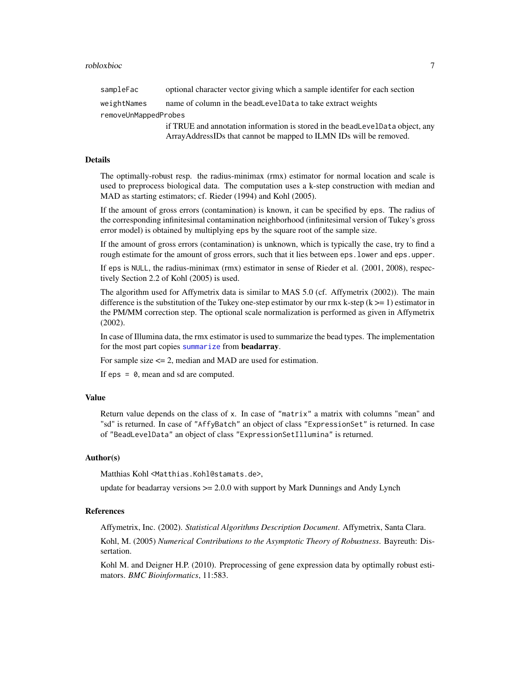<span id="page-6-0"></span>sampleFac optional character vector giving which a sample identifer for each section weightNames name of column in the beadLevelData to take extract weights removeUnMappedProbes if TRUE and annotation information is stored in the beadLevelData object, any ArrayAddressIDs that cannot be mapped to ILMN IDs will be removed.

#### Details

The optimally-robust resp. the radius-minimax (rmx) estimator for normal location and scale is used to preprocess biological data. The computation uses a k-step construction with median and MAD as starting estimators; cf. Rieder (1994) and Kohl (2005).

If the amount of gross errors (contamination) is known, it can be specified by eps. The radius of the corresponding infinitesimal contamination neighborhood (infinitesimal version of Tukey's gross error model) is obtained by multiplying eps by the square root of the sample size.

If the amount of gross errors (contamination) is unknown, which is typically the case, try to find a rough estimate for the amount of gross errors, such that it lies between eps. lower and eps. upper.

If eps is NULL, the radius-minimax (rmx) estimator in sense of Rieder et al. (2001, 2008), respectively Section 2.2 of Kohl (2005) is used.

The algorithm used for Affymetrix data is similar to MAS 5.0 (cf. Affymetrix (2002)). The main difference is the substitution of the Tukey one-step estimator by our rmx k-step ( $k \ge -1$ ) estimator in the PM/MM correction step. The optional scale normalization is performed as given in Affymetrix (2002).

In case of Illumina data, the rmx estimator is used to summarize the bead types. The implementation for the most part copies [summarize](#page-0-0) from beadarray.

For sample size <= 2, median and MAD are used for estimation.

If  $eps = 0$ , mean and sd are computed.

#### Value

Return value depends on the class of x. In case of "matrix" a matrix with columns "mean" and "sd" is returned. In case of "AffyBatch" an object of class "ExpressionSet" is returned. In case of "BeadLevelData" an object of class "ExpressionSetIllumina" is returned.

#### Author(s)

Matthias Kohl <Matthias.Kohl@stamats.de>,

update for beadarray versions  $\geq 2.0.0$  with support by Mark Dunnings and Andy Lynch

#### References

Affymetrix, Inc. (2002). *Statistical Algorithms Description Document*. Affymetrix, Santa Clara. Kohl, M. (2005) *Numerical Contributions to the Asymptotic Theory of Robustness*. Bayreuth: Dissertation.

Kohl M. and Deigner H.P. (2010). Preprocessing of gene expression data by optimally robust estimators. *BMC Bioinformatics*, 11:583.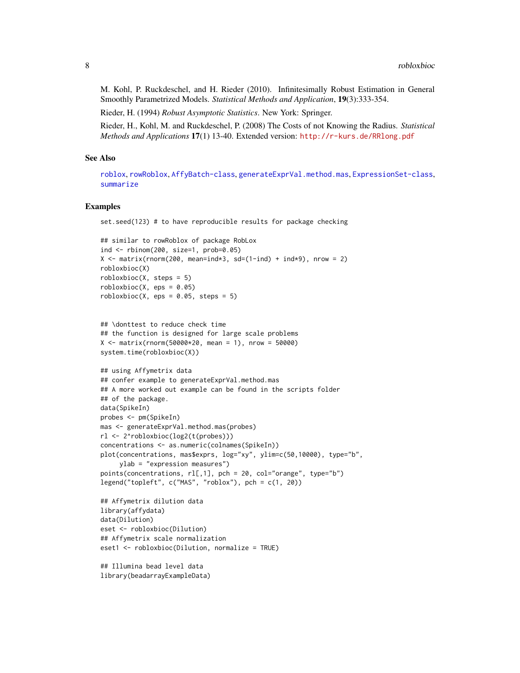<span id="page-7-0"></span>M. Kohl, P. Ruckdeschel, and H. Rieder (2010). Infinitesimally Robust Estimation in General Smoothly Parametrized Models. *Statistical Methods and Application*, 19(3):333-354.

Rieder, H. (1994) *Robust Asymptotic Statistics*. New York: Springer.

Rieder, H., Kohl, M. and Ruckdeschel, P. (2008) The Costs of not Knowing the Radius. *Statistical Methods and Applications* 17(1) 13-40. Extended version: <http://r-kurs.de/RRlong.pdf>

#### See Also

[roblox](#page-0-0), [rowRoblox](#page-0-0), [AffyBatch-class](#page-0-0), [generateExprVal.method.mas](#page-0-0), [ExpressionSet-class](#page-0-0), [summarize](#page-0-0)

#### Examples

set.seed(123) # to have reproducible results for package checking

```
## similar to rowRoblox of package RobLox
ind <- rbinom(200, size=1, prob=0.05)
X \le matrix(rnorm(200, mean=ind*3, sd=(1-ind) + ind*9), nrow = 2)
robloxbioc(X)
roblovbioc(X, steps = 5)roblovbioc(X, eps = 0.05)roblovbioc(X, eps = 0.05, steps = 5)
```

```
## \donttest to reduce check time
## the function is designed for large scale problems
X \le - matrix(rnorm(50000*20, mean = 1), nrow = 50000)
system.time(robloxbioc(X))
```

```
## using Affymetrix data
## confer example to generateExprVal.method.mas
## A more worked out example can be found in the scripts folder
## of the package.
data(SpikeIn)
probes <- pm(SpikeIn)
mas <- generateExprVal.method.mas(probes)
rl <- 2^robloxbioc(log2(t(probes)))
concentrations <- as.numeric(colnames(SpikeIn))
plot(concentrations, mas$exprs, log="xy", ylim=c(50,10000), type="b",
     ylab = "expression measures")
points(concentrations, rl[,1], pch = 20, col="orange", type="b")
legend("topleft", c("MAS", "roblox"), pch = c(1, 20))
```
## Affymetrix dilution data library(affydata) data(Dilution) eset <- robloxbioc(Dilution) ## Affymetrix scale normalization eset1 <- robloxbioc(Dilution, normalize = TRUE)

## Illumina bead level data library(beadarrayExampleData)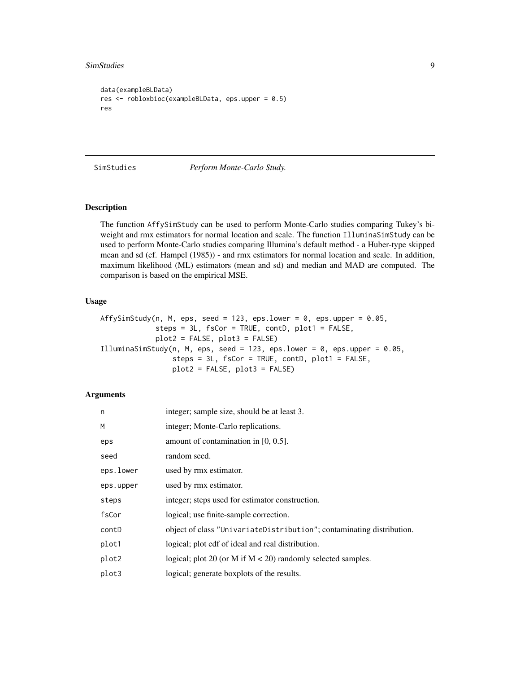#### <span id="page-8-0"></span>SimStudies 9

```
data(exampleBLData)
res <- robloxbioc(exampleBLData, eps.upper = 0.5)
res
```
#### SimStudies *Perform Monte-Carlo Study.*

#### Description

The function AffySimStudy can be used to perform Monte-Carlo studies comparing Tukey's biweight and rmx estimators for normal location and scale. The function IlluminaSimStudy can be used to perform Monte-Carlo studies comparing Illumina's default method - a Huber-type skipped mean and sd (cf. Hampel (1985)) - and rmx estimators for normal location and scale. In addition, maximum likelihood (ML) estimators (mean and sd) and median and MAD are computed. The comparison is based on the empirical MSE.

#### Usage

```
AffySimStudy(n, M, eps, seed = 123, eps.lower = 0, eps.upper = 0.05,
             steps = 3L, fsCor = TRUE, contD, plot1 = FALSE,
            plot2 = FALSE, plot3 = FALSE)IlluminaSimStudy(n, M, eps, seed = 123, eps.lower = 0, eps.upper = 0.05,
                 steps = 3L, fsCor = TRUE, contD, plot1 = FALSE,
                 plot2 = FALSE, plot3 = FALSE)
```
#### Arguments

| n         | integer; sample size, should be at least 3.                           |
|-----------|-----------------------------------------------------------------------|
| M         | integer; Monte-Carlo replications.                                    |
| eps       | amount of contamination in $[0, 0.5]$ .                               |
| seed      | random seed.                                                          |
| eps.lower | used by rmx estimator.                                                |
| eps.upper | used by rmx estimator.                                                |
| steps     | integer; steps used for estimator construction.                       |
| fsCor     | logical; use finite-sample correction.                                |
| contD     | object of class "UnivariateDistribution"; contaminating distribution. |
| plot1     | logical; plot cdf of ideal and real distribution.                     |
| plot2     | logical; plot 20 (or M if $M < 20$ ) randomly selected samples.       |
| plot3     | logical; generate boxplots of the results.                            |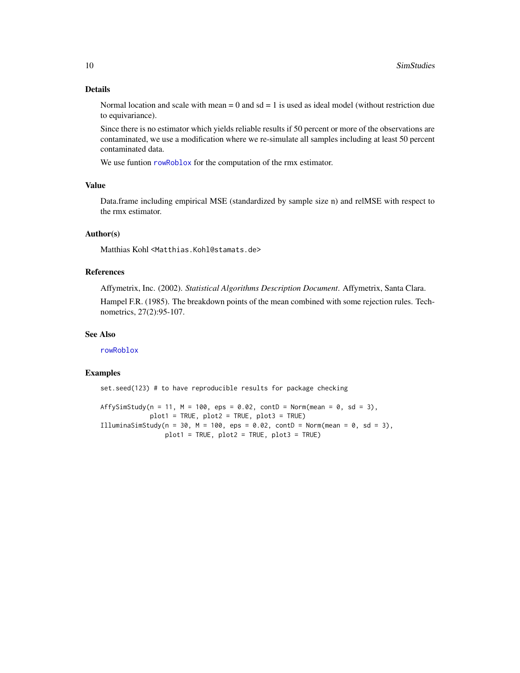#### <span id="page-9-0"></span>Details

Normal location and scale with mean  $= 0$  and sd  $= 1$  is used as ideal model (without restriction due to equivariance).

Since there is no estimator which yields reliable results if 50 percent or more of the observations are contaminated, we use a modification where we re-simulate all samples including at least 50 percent contaminated data.

We use funtion [rowRoblox](#page-0-0) for the computation of the rmx estimator.

#### Value

Data.frame including empirical MSE (standardized by sample size n) and relMSE with respect to the rmx estimator.

#### Author(s)

Matthias Kohl <Matthias.Kohl@stamats.de>

#### References

Affymetrix, Inc. (2002). *Statistical Algorithms Description Document*. Affymetrix, Santa Clara.

Hampel F.R. (1985). The breakdown points of the mean combined with some rejection rules. Technometrics, 27(2):95-107.

#### See Also

[rowRoblox](#page-0-0)

#### Examples

set.seed(123) # to have reproducible results for package checking

AffySimStudy(n = 11, M = 100, eps = 0.02, contD = Norm(mean = 0, sd = 3), plot1 = TRUE, plot2 = TRUE, plot3 = TRUE) IlluminaSimStudy(n = 30, M = 100, eps = 0.02, contD = Norm(mean = 0, sd = 3), plot1 = TRUE, plot2 = TRUE, plot3 = TRUE)